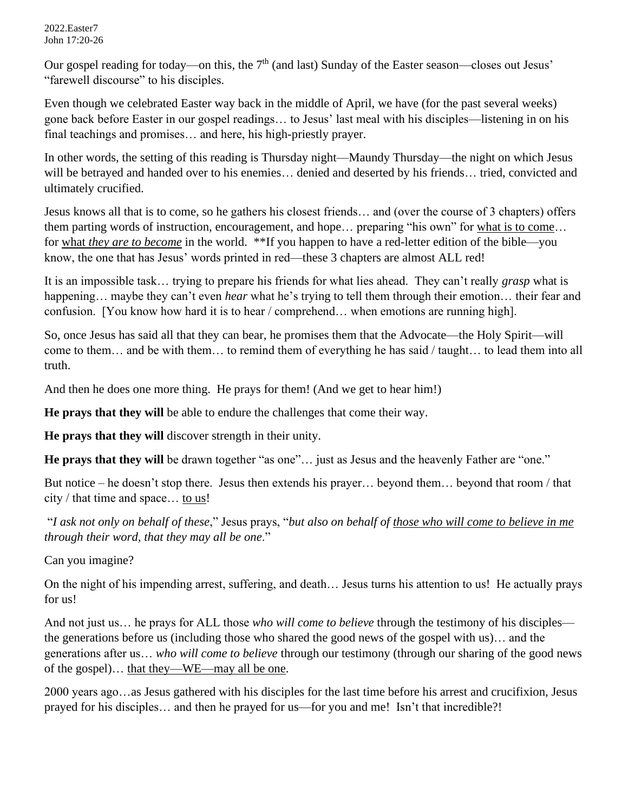Our gospel reading for today—on this, the  $7<sup>th</sup>$  (and last) Sunday of the Easter season—closes out Jesus' "farewell discourse" to his disciples.

Even though we celebrated Easter way back in the middle of April, we have (for the past several weeks) gone back before Easter in our gospel readings… to Jesus' last meal with his disciples—listening in on his final teachings and promises… and here, his high-priestly prayer.

In other words, the setting of this reading is Thursday night—Maundy Thursday—the night on which Jesus will be betrayed and handed over to his enemies... denied and deserted by his friends... tried, convicted and ultimately crucified.

Jesus knows all that is to come, so he gathers his closest friends… and (over the course of 3 chapters) offers them parting words of instruction, encouragement, and hope… preparing "his own" for what is to come… for what *they are to become* in the world. \*\*If you happen to have a red-letter edition of the bible—you know, the one that has Jesus' words printed in red—these 3 chapters are almost ALL red!

It is an impossible task… trying to prepare his friends for what lies ahead. They can't really *grasp* what is happening… maybe they can't even *hear* what he's trying to tell them through their emotion… their fear and confusion. [You know how hard it is to hear / comprehend… when emotions are running high].

So, once Jesus has said all that they can bear, he promises them that the Advocate—the Holy Spirit—will come to them… and be with them… to remind them of everything he has said / taught… to lead them into all truth.

And then he does one more thing. He prays for them! (And we get to hear him!)

**He prays that they will** be able to endure the challenges that come their way.

**He prays that they will** discover strength in their unity.

**He prays that they will** be drawn together "as one"… just as Jesus and the heavenly Father are "one."

But notice – he doesn't stop there. Jesus then extends his prayer… beyond them… beyond that room / that city / that time and space… to us!

"*I ask not only on behalf of these*," Jesus prays, "*but also on behalf of those who will come to believe in me through their word, that they may all be one*."

Can you imagine?

On the night of his impending arrest, suffering, and death… Jesus turns his attention to us! He actually prays for us!

And not just us… he prays for ALL those *who will come to believe* through the testimony of his disciples the generations before us (including those who shared the good news of the gospel with us)… and the generations after us… *who will come to believe* through our testimony (through our sharing of the good news of the gospel)… that they—WE—may all be one.

2000 years ago…as Jesus gathered with his disciples for the last time before his arrest and crucifixion, Jesus prayed for his disciples… and then he prayed for us—for you and me! Isn't that incredible?!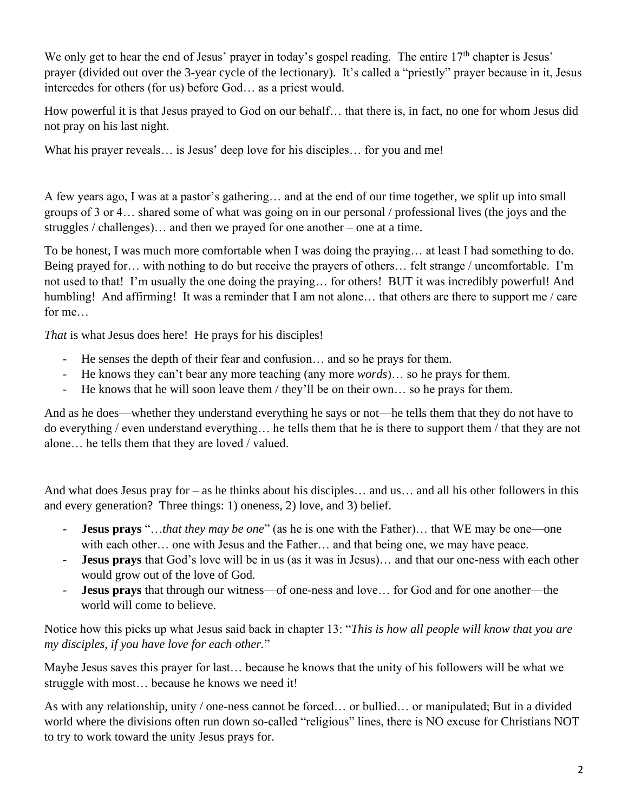We only get to hear the end of Jesus' prayer in today's gospel reading. The entire 17<sup>th</sup> chapter is Jesus' prayer (divided out over the 3-year cycle of the lectionary). It's called a "priestly" prayer because in it, Jesus intercedes for others (for us) before God… as a priest would.

How powerful it is that Jesus prayed to God on our behalf… that there is, in fact, no one for whom Jesus did not pray on his last night.

What his prayer reveals... is Jesus' deep love for his disciples... for you and me!

A few years ago, I was at a pastor's gathering… and at the end of our time together, we split up into small groups of 3 or 4… shared some of what was going on in our personal / professional lives (the joys and the struggles / challenges)… and then we prayed for one another – one at a time.

To be honest, I was much more comfortable when I was doing the praying… at least I had something to do. Being prayed for… with nothing to do but receive the prayers of others… felt strange / uncomfortable. I'm not used to that! I'm usually the one doing the praying… for others! BUT it was incredibly powerful! And humbling! And affirming! It was a reminder that I am not alone... that others are there to support me / care for me…

*That* is what Jesus does here! He prays for his disciples!

- He senses the depth of their fear and confusion… and so he prays for them.
- He knows they can't bear any more teaching (any more *words*)… so he prays for them.
- He knows that he will soon leave them / they'll be on their own… so he prays for them.

And as he does—whether they understand everything he says or not—he tells them that they do not have to do everything / even understand everything… he tells them that he is there to support them / that they are not alone… he tells them that they are loved / valued.

And what does Jesus pray for – as he thinks about his disciples… and us… and all his other followers in this and every generation? Three things: 1) oneness, 2) love, and 3) belief.

- **Jesus prays** "…*that they may be one*" (as he is one with the Father)… that WE may be one—one with each other… one with Jesus and the Father… and that being one, we may have peace.
- **Jesus prays** that God's love will be in us (as it was in Jesus)… and that our one-ness with each other would grow out of the love of God.
- **Jesus prays** that through our witness—of one-ness and love… for God and for one another—the world will come to believe.

Notice how this picks up what Jesus said back in chapter 13: "*This is how all people will know that you are my disciples, if you have love for each other.*"

Maybe Jesus saves this prayer for last… because he knows that the unity of his followers will be what we struggle with most… because he knows we need it!

As with any relationship, unity / one-ness cannot be forced… or bullied… or manipulated; But in a divided world where the divisions often run down so-called "religious" lines, there is NO excuse for Christians NOT to try to work toward the unity Jesus prays for.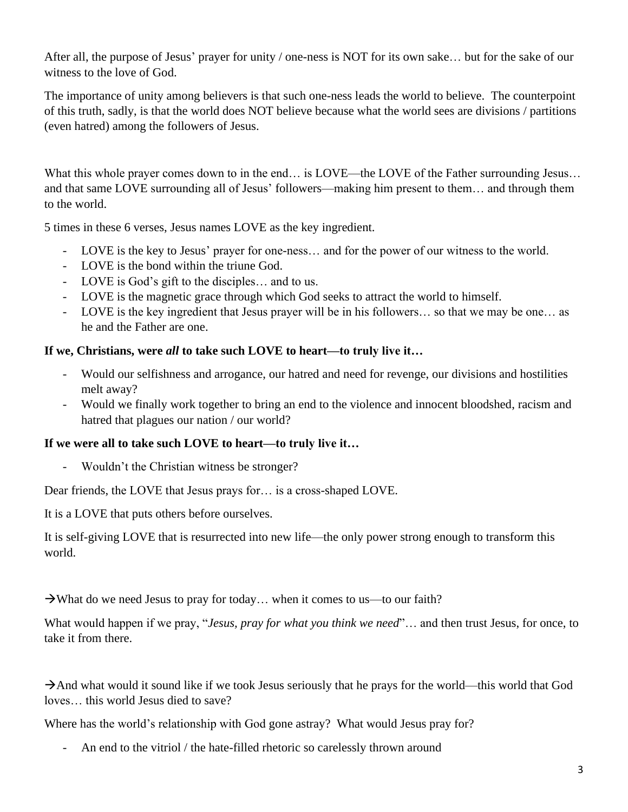After all, the purpose of Jesus' prayer for unity / one-ness is NOT for its own sake… but for the sake of our witness to the love of God.

The importance of unity among believers is that such one-ness leads the world to believe. The counterpoint of this truth, sadly, is that the world does NOT believe because what the world sees are divisions / partitions (even hatred) among the followers of Jesus.

What this whole prayer comes down to in the end... is LOVE—the LOVE of the Father surrounding Jesus... and that same LOVE surrounding all of Jesus' followers—making him present to them… and through them to the world.

5 times in these 6 verses, Jesus names LOVE as the key ingredient.

- LOVE is the key to Jesus' prayer for one-ness… and for the power of our witness to the world.
- LOVE is the bond within the triune God.
- LOVE is God's gift to the disciples… and to us.
- LOVE is the magnetic grace through which God seeks to attract the world to himself.
- LOVE is the key ingredient that Jesus prayer will be in his followers… so that we may be one… as he and the Father are one.

## **If we, Christians, were** *all* **to take such LOVE to heart—to truly live it…**

- Would our selfishness and arrogance, our hatred and need for revenge, our divisions and hostilities melt away?
- Would we finally work together to bring an end to the violence and innocent bloodshed, racism and hatred that plagues our nation / our world?

## **If we were all to take such LOVE to heart—to truly live it…**

- Wouldn't the Christian witness be stronger?

Dear friends, the LOVE that Jesus prays for… is a cross-shaped LOVE.

It is a LOVE that puts others before ourselves.

It is self-giving LOVE that is resurrected into new life—the only power strong enough to transform this world.

 $\rightarrow$ What do we need Jesus to pray for today... when it comes to us—to our faith?

What would happen if we pray, "*Jesus, pray for what you think we need*"… and then trust Jesus, for once, to take it from there.

 $\rightarrow$ And what would it sound like if we took Jesus seriously that he prays for the world—this world that God loves… this world Jesus died to save?

Where has the world's relationship with God gone astray? What would Jesus pray for?

- An end to the vitriol / the hate-filled rhetoric so carelessly thrown around